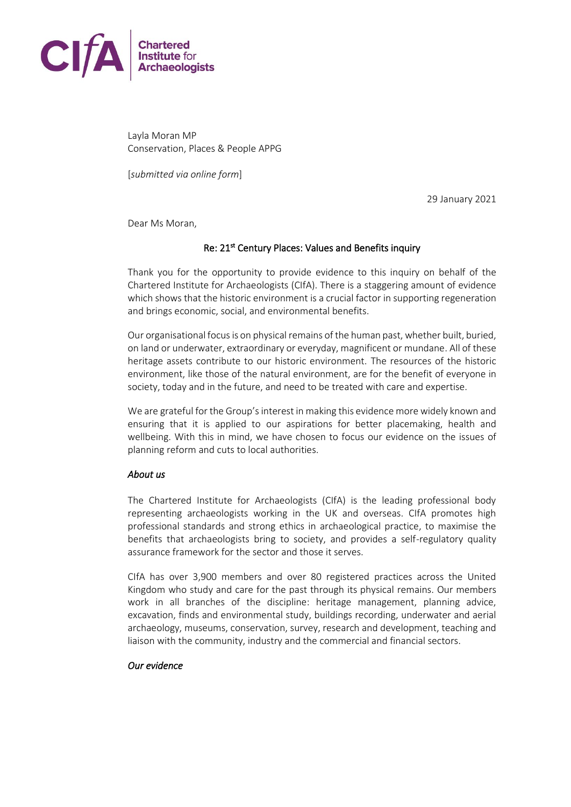

Layla Moran MP Conservation, Places & People APPG

[*submitted via online form*]

29 January 2021

Dear Ms Moran,

### Re: 21<sup>st</sup> Century Places: Values and Benefits inquiry

Thank you for the opportunity to provide evidence to this inquiry on behalf of the Chartered Institute for Archaeologists (CIfA). There is a staggering amount of evidence which shows that the historic environment is a crucial factor in supporting regeneration and brings economic, social, and environmental benefits.

Our organisational focus is on physical remains of the human past, whether built, buried, on land or underwater, extraordinary or everyday, magnificent or mundane. All of these heritage assets contribute to our historic environment. The resources of the historic environment, like those of the natural environment, are for the benefit of everyone in society, today and in the future, and need to be treated with care and expertise.

We are grateful for the Group's interest in making this evidence more widely known and ensuring that it is applied to our aspirations for better placemaking, health and wellbeing. With this in mind, we have chosen to focus our evidence on the issues of planning reform and cuts to local authorities.

#### *About us*

The Chartered Institute for Archaeologists (CIfA) is the leading professional body representing archaeologists working in the UK and overseas. CIfA promotes high professional standards and strong ethics in archaeological practice, to maximise the benefits that archaeologists bring to society, and provides a self-regulatory quality assurance framework for the sector and those it serves.

CIfA has over 3,900 members and over 80 registered practices across the United Kingdom who study and care for the past through its physical remains. Our members work in all branches of the discipline: heritage management, planning advice, excavation, finds and environmental study, buildings recording, underwater and aerial archaeology, museums, conservation, survey, research and development, teaching and liaison with the community, industry and the commercial and financial sectors.

#### *Our evidence*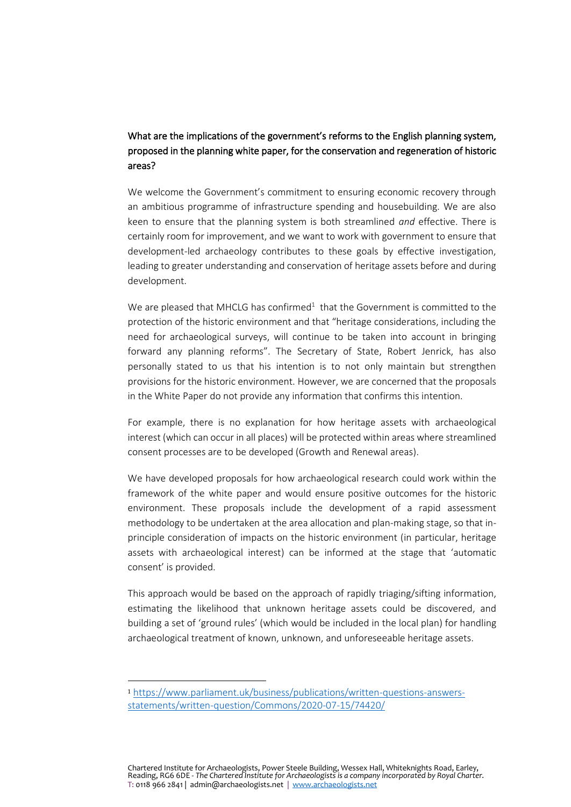# What are the implications of the government's reforms to the English planning system, proposed in the planning white paper, for the conservation and regeneration of historic areas?

We welcome the Government's commitment to ensuring economic recovery through an ambitious programme of infrastructure spending and housebuilding. We are also keen to ensure that the planning system is both streamlined *and* effective. There is certainly room for improvement, and we want to work with government to ensure that development-led archaeology contributes to these goals by effective investigation, leading to greater understanding and conservation of heritage assets before and during development.

We are pleased that MHCLG has confirmed<sup>1</sup> that the Government is committed to the protection of the historic environment and that "heritage considerations, including the need for archaeological surveys, will continue to be taken into account in bringing forward any planning reforms". The Secretary of State, Robert Jenrick, has also personally stated to us that his intention is to not only maintain but strengthen provisions for the historic environment. However, we are concerned that the proposals in the White Paper do not provide any information that confirms this intention.

For example, there is no explanation for how heritage assets with archaeological interest (which can occur in all places) will be protected within areas where streamlined consent processes are to be developed (Growth and Renewal areas).

We have developed proposals for how archaeological research could work within the framework of the white paper and would ensure positive outcomes for the historic environment. These proposals include the development of a rapid assessment methodology to be undertaken at the area allocation and plan-making stage, so that inprinciple consideration of impacts on the historic environment (in particular, heritage assets with archaeological interest) can be informed at the stage that 'automatic consent' is provided.

This approach would be based on the approach of rapidly triaging/sifting information, estimating the likelihood that unknown heritage assets could be discovered, and building a set of 'ground rules' (which would be included in the local plan) for handling archaeological treatment of known, unknown, and unforeseeable heritage assets.

<sup>1</sup> [https://www.parliament.uk/business/publications/written-questions-answers](https://www.parliament.uk/business/publications/written-questions-answers-statements/written-question/Commons/2020-07-15/74420/)[statements/written-question/Commons/2020-07-15/74420/](https://www.parliament.uk/business/publications/written-questions-answers-statements/written-question/Commons/2020-07-15/74420/)

Chartered Institute for Archaeologists, Power Steele Building, Wessex Hall, Whiteknights Road, Earley, Reading, RG6 6DE - *The Chartered Institute for Archaeologists is a company incorporated by Royal Charter.* T: 0118 966 2841 | admin@archaeologists.net | [www.archaeologists.net](http://www.archaeologists.net/)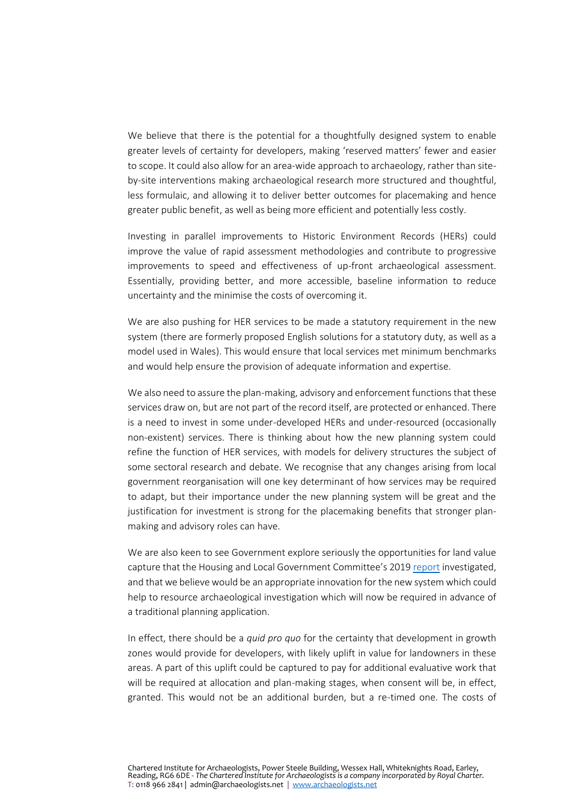We believe that there is the potential for a thoughtfully designed system to enable greater levels of certainty for developers, making 'reserved matters' fewer and easier to scope. It could also allow for an area-wide approach to archaeology, rather than siteby-site interventions making archaeological research more structured and thoughtful, less formulaic, and allowing it to deliver better outcomes for placemaking and hence greater public benefit, as well as being more efficient and potentially less costly.

Investing in parallel improvements to Historic Environment Records (HERs) could improve the value of rapid assessment methodologies and contribute to progressive improvements to speed and effectiveness of up-front archaeological assessment. Essentially, providing better, and more accessible, baseline information to reduce uncertainty and the minimise the costs of overcoming it.

We are also pushing for HER services to be made a statutory requirement in the new system (there are formerly proposed English solutions for a statutory duty, as well as a model used in Wales). This would ensure that local services met minimum benchmarks and would help ensure the provision of adequate information and expertise.

We also need to assure the plan-making, advisory and enforcement functions that these services draw on, but are not part of the record itself, are protected or enhanced. There is a need to invest in some under-developed HERs and under-resourced (occasionally non-existent) services. There is thinking about how the new planning system could refine the function of HER services, with models for delivery structures the subject of some sectoral research and debate. We recognise that any changes arising from local government reorganisation will one key determinant of how services may be required to adapt, but their importance under the new planning system will be great and the justification for investment is strong for the placemaking benefits that stronger planmaking and advisory roles can have.

We are also keen to see Government explore seriously the opportunities for land value capture that the Housing and Local Government Committee's 2019 [report](https://www.gov.uk/government/publications/land-value-capture-government-response-to-the-select-committee-inquiry) investigated, and that we believe would be an appropriate innovation for the new system which could help to resource archaeological investigation which will now be required in advance of a traditional planning application.

In effect, there should be a *quid pro quo* for the certainty that development in growth zones would provide for developers, with likely uplift in value for landowners in these areas. A part of this uplift could be captured to pay for additional evaluative work that will be required at allocation and plan-making stages, when consent will be, in effect, granted. This would not be an additional burden, but a re-timed one. The costs of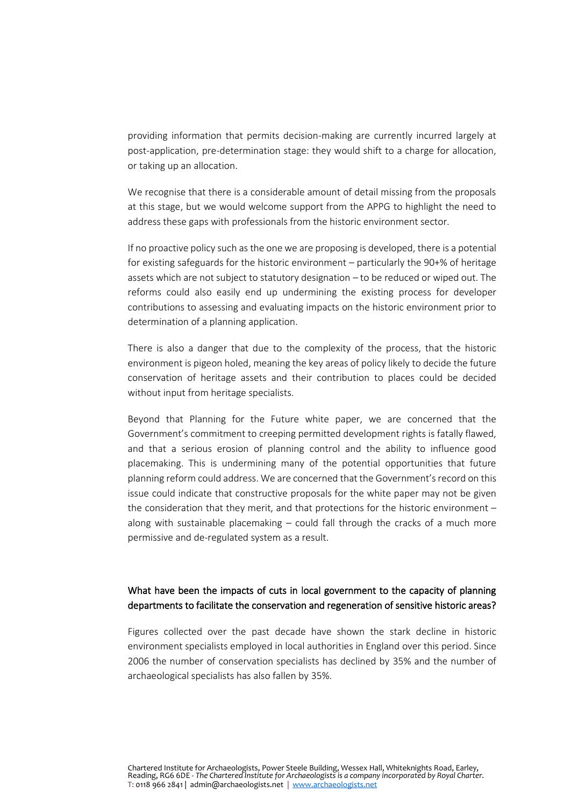providing information that permits decision-making are currently incurred largely at post-application, pre-determination stage: they would shift to a charge for allocation, or taking up an allocation.

We recognise that there is a considerable amount of detail missing from the proposals at this stage, but we would welcome support from the APPG to highlight the need to address these gaps with professionals from the historic environment sector.

If no proactive policy such as the one we are proposing is developed, there is a potential for existing safeguards for the historic environment – particularly the 90+% of heritage assets which are not subject to statutory designation – to be reduced or wiped out. The reforms could also easily end up undermining the existing process for developer contributions to assessing and evaluating impacts on the historic environment prior to determination of a planning application.

There is also a danger that due to the complexity of the process, that the historic environment is pigeon holed, meaning the key areas of policy likely to decide the future conservation of heritage assets and their contribution to places could be decided without input from heritage specialists.

Beyond that Planning for the Future white paper, we are concerned that the Government's commitment to creeping permitted development rights is fatally flawed, and that a serious erosion of planning control and the ability to influence good placemaking. This is undermining many of the potential opportunities that future planning reform could address. We are concerned that the Government's record on this issue could indicate that constructive proposals for the white paper may not be given the consideration that they merit, and that protections for the historic environment – along with sustainable placemaking  $-$  could fall through the cracks of a much more permissive and de-regulated system as a result.

## What have been the impacts of cuts in local government to the capacity of planning departments to facilitate the conservation and regeneration of sensitive historic areas?

Figures collected over the past decade have shown the stark decline in historic environment specialists employed in local authorities in England over this period. Since 2006 the number of conservation specialists has declined by 35% and the number of archaeological specialists has also fallen by 35%.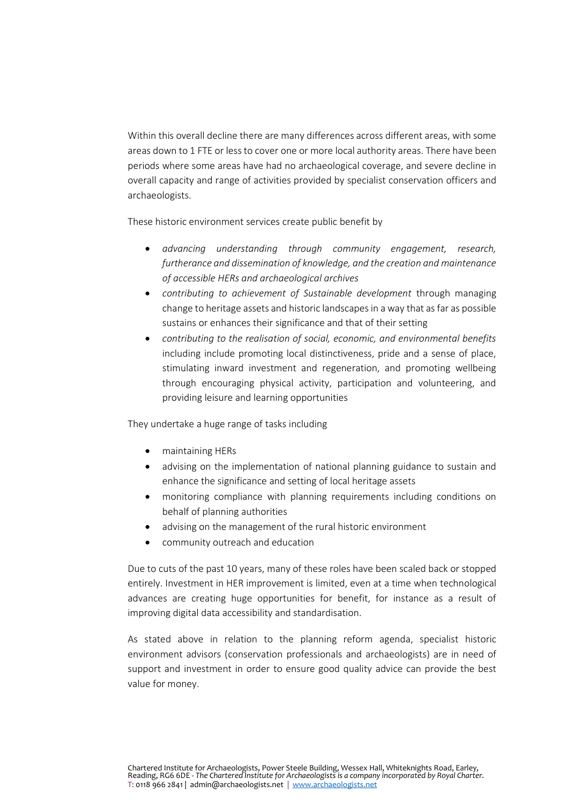Within this overall decline there are many differences across different areas, with some areas down to 1 FTE or less to cover one or more local authority areas. There have been periods where some areas have had no archaeological coverage, and severe decline in overall capacity and range of activities provided by specialist conservation officers and archaeologists.

These historic environment services create public benefit by

- *advancing understanding through community engagement, research, furtherance and dissemination of knowledge, and the creation and maintenance of accessible HERs and archaeological archives*
- *contributing to achievement of Sustainable development* through managing change to heritage assets and historic landscapes in a way that as far as possible sustains or enhances their significance and that of their setting
- *contributing to the realisation of social, economic, and environmental benefits* including include promoting local distinctiveness, pride and a sense of place, stimulating inward investment and regeneration, and promoting wellbeing through encouraging physical activity, participation and volunteering, and providing leisure and learning opportunities

They undertake a huge range of tasks including

- maintaining HERs
- advising on the implementation of national planning guidance to sustain and enhance the significance and setting of local heritage assets
- monitoring compliance with planning requirements including conditions on behalf of planning authorities
- advising on the management of the rural historic environment
- community outreach and education

Due to cuts of the past 10 years, many of these roles have been scaled back or stopped entirely. Investment in HER improvement is limited, even at a time when technological advances are creating huge opportunities for benefit, for instance as a result of improving digital data accessibility and standardisation.

As stated above in relation to the planning reform agenda, specialist historic environment advisors (conservation professionals and archaeologists) are in need of support and investment in order to ensure good quality advice can provide the best value for money.